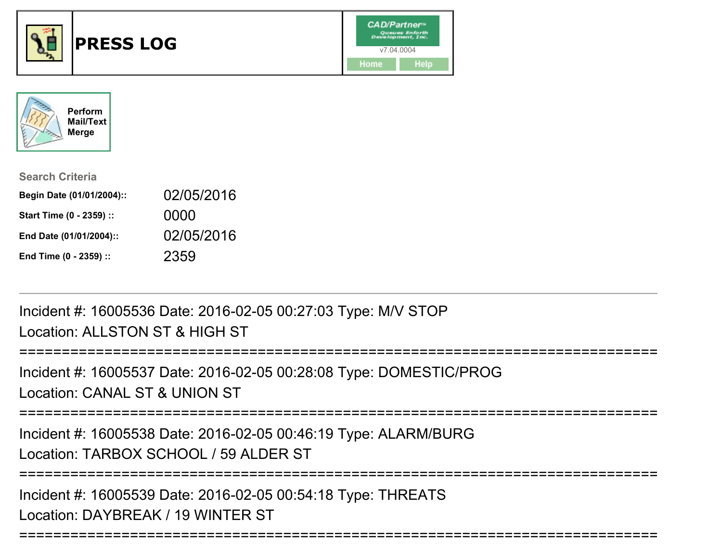



| <b>Search Criteria</b>    |            |
|---------------------------|------------|
| Begin Date (01/01/2004):: | 02/05/2016 |
| Start Time (0 - 2359) ::  | 0000       |
| End Date (01/01/2004)::   | 02/05/2016 |
| End Time (0 - 2359) ::    | 2359       |

Incident #: 16005536 Date: 2016-02-05 00:27:03 Type: M/V STOPLocation: ALLSTON ST & HIGH ST

===========================================================================Incident #: 16005537 Date: 2016-02-05 00:28:08 Type: DOMESTIC/PROGLocation: CANAL ST & UNION ST===========================================================================Incident #: 16005538 Date: 2016-02-05 00:46:19 Type: ALARM/BURGLocation: TARBOX SCHOOL / 59 ALDER ST===========================================================================Incident #: 16005539 Date: 2016-02-05 00:54:18 Type: THREATSLocation: DAYBREAK / 19 WINTER ST

===========================================================================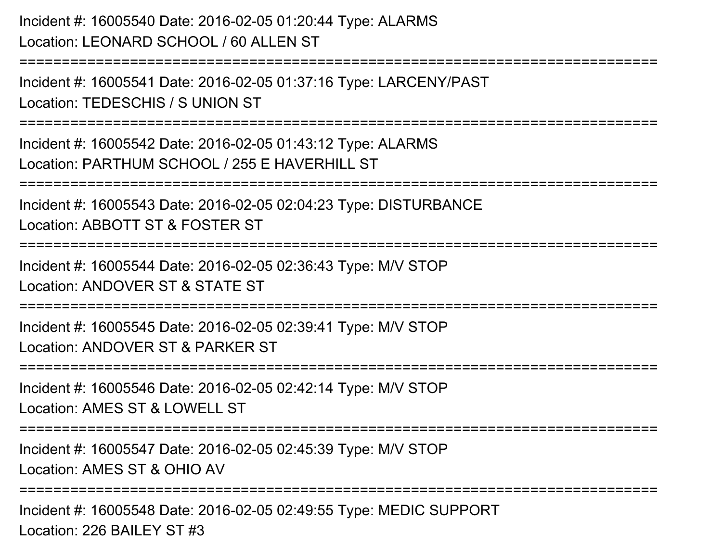Incident #: 16005540 Date: 2016-02-05 01:20:44 Type: ALARMSLocation: LEONARD SCHOOL / 60 ALLEN ST

Incident #: 16005541 Date: 2016-02-05 01:37:16 Type: LARCENY/PASTLocation: TEDESCHIS / S UNION ST

===========================================================================

===========================================================================

Incident #: 16005542 Date: 2016-02-05 01:43:12 Type: ALARMSLocation: PARTHUM SCHOOL / 255 E HAVERHILL ST

===========================================================================

Incident #: 16005543 Date: 2016-02-05 02:04:23 Type: DISTURBANCE

Location: ABBOTT ST & FOSTER ST

===========================================================================

Incident #: 16005544 Date: 2016-02-05 02:36:43 Type: M/V STOP

Location: ANDOVER ST & STATE ST

===========================================================================

Incident #: 16005545 Date: 2016-02-05 02:39:41 Type: M/V STOPLocation: ANDOVER ST & PARKER ST

===========================================================================

Incident #: 16005546 Date: 2016-02-05 02:42:14 Type: M/V STOP

Location: AMES ST & LOWELL ST

===========================================================================

Incident #: 16005547 Date: 2016-02-05 02:45:39 Type: M/V STOPLocation: AMES ST & OHIO AV

===========================================================================

Incident #: 16005548 Date: 2016-02-05 02:49:55 Type: MEDIC SUPPORTLocation: 226 BAILEY ST #3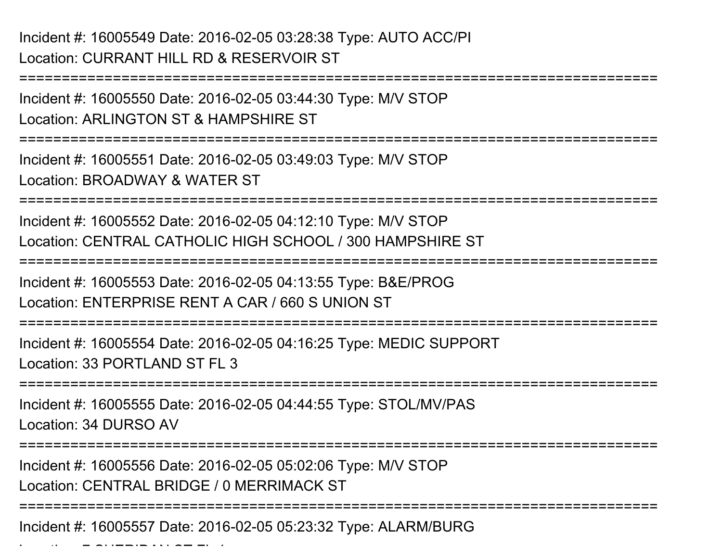Incident #: 16005549 Date: 2016-02-05 03:28:38 Type: AUTO ACC/PILocation: CURRANT HILL RD & RESERVOIR ST

===========================================================================Incident #: 16005550 Date: 2016-02-05 03:44:30 Type: M/V STOPLocation: ARLINGTON ST & HAMPSHIRE ST===========================================================================Incident #: 16005551 Date: 2016-02-05 03:49:03 Type: M/V STOPLocation: BROADWAY & WATER ST===========================================================================Incident #: 16005552 Date: 2016-02-05 04:12:10 Type: M/V STOP Location: CENTRAL CATHOLIC HIGH SCHOOL / 300 HAMPSHIRE ST===========================================================================Incident #: 16005553 Date: 2016-02-05 04:13:55 Type: B&E/PROGLocation: ENTERPRISE RENT A CAR / 660 S UNION ST===========================================================================Incident #: 16005554 Date: 2016-02-05 04:16:25 Type: MEDIC SUPPORTLocation: 33 PORTLAND ST FL 3===========================================================================Incident #: 16005555 Date: 2016-02-05 04:44:55 Type: STOL/MV/PASLocation: 34 DURSO AV===========================================================================Incident #: 16005556 Date: 2016-02-05 05:02:06 Type: M/V STOPLocation: CENTRAL BRIDGE / 0 MERRIMACK ST===========================================================================

Incident #: 16005557 Date: 2016-02-05 05:23:32 Type: ALARM/BURG

 $\mathcal{L}$  and  $\mathcal{L}$  sheriffer  $\mathcal{L}$  is  $\mathcal{L}$  sheriffer  $\mathcal{L}$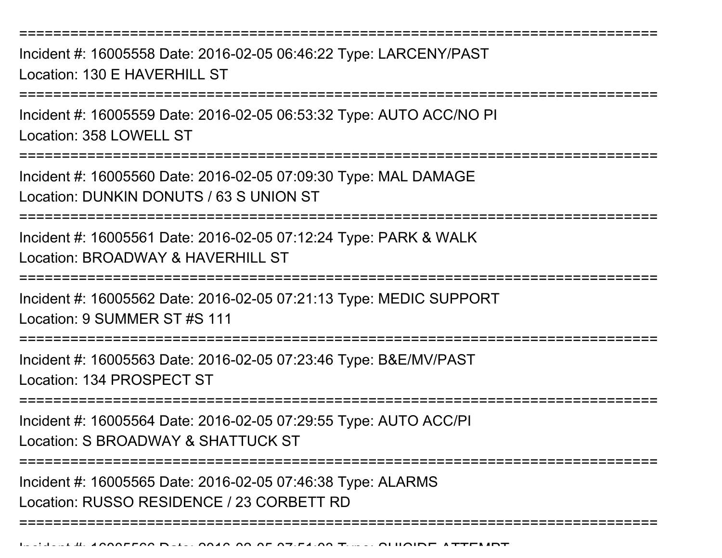===========================================================================

Incident #: 16005558 Date: 2016-02-05 06:46:22 Type: LARCENY/PASTLocation: 130 F HAVERHILL ST

===========================================================================

Incident #: 16005559 Date: 2016-02-05 06:53:32 Type: AUTO ACC/NO PILocation: 358 LOWELL ST

===========================================================================

Incident #: 16005560 Date: 2016-02-05 07:09:30 Type: MAL DAMAGELocation: DUNKIN DONUTS / 63 S UNION ST

**========================** 

Incident #: 16005561 Date: 2016-02-05 07:12:24 Type: PARK & WALKLocation: BROADWAY & HAVERHILL ST

===========================================================================

Incident #: 16005562 Date: 2016-02-05 07:21:13 Type: MEDIC SUPPORT

Location: 9 SUMMER ST #S 111

===========================================================================

Incident #: 16005563 Date: 2016-02-05 07:23:46 Type: B&E/MV/PASTLocation: 134 PROSPECT ST

===========================================================================

Incident #: 16005564 Date: 2016-02-05 07:29:55 Type: AUTO ACC/PILocation: S BROADWAY & SHATTUCK ST

===========================================================================

===========================================================================

Incident #: 16005565 Date: 2016-02-05 07:46:38 Type: ALARMS

Location: RUSSO RESIDENCE / 23 CORBETT RD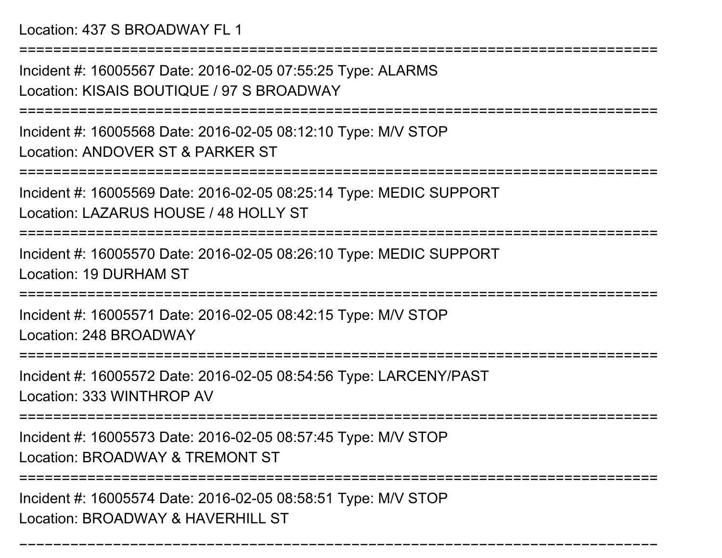Location: 437 S BROADWAY FL 1

Incident #: 16005567 Date: 2016-02-05 07:55:25 Type: ALARMSLocation: KISAIS BOUTIQUE / 97 S BROADWAY

===========================================================================

===========================================================================

Incident #: 16005568 Date: 2016-02-05 08:12:10 Type: M/V STOPLocation: ANDOVER ST & PARKER ST

```
===========================================================================
```
Incident #: 16005569 Date: 2016-02-05 08:25:14 Type: MEDIC SUPPORTLocation: LAZARUS HOUSE / 48 HOLLY ST

===========================================================================

Incident #: 16005570 Date: 2016-02-05 08:26:10 Type: MEDIC SUPPORTLocation: 19 DURHAM ST

===========================================================================

Incident #: 16005571 Date: 2016-02-05 08:42:15 Type: M/V STOPLocation: 248 BROADWAY

```
=======================
```
Incident #: 16005572 Date: 2016-02-05 08:54:56 Type: LARCENY/PASTLocation: 333 WINTHROP AV

===========================================================================

Incident #: 16005573 Date: 2016-02-05 08:57:45 Type: M/V STOP

Location: BROADWAY & TREMONT ST

===========================================================================

===========================================================================

Incident #: 16005574 Date: 2016-02-05 08:58:51 Type: M/V STOPLocation: BROADWAY & HAVERHILL ST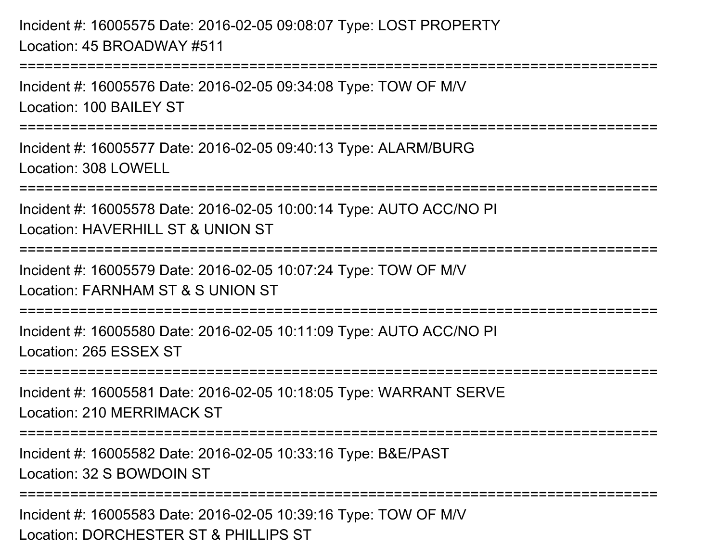Incident #: 16005575 Date: 2016-02-05 09:08:07 Type: LOST PROPERTYLocation: 45 BROADWAY #511

Incident #: 16005576 Date: 2016-02-05 09:34:08 Type: TOW OF M/VLocation: 100 BAILEY ST

===========================================================================

===========================================================================

Incident #: 16005577 Date: 2016-02-05 09:40:13 Type: ALARM/BURGLocation: 308 LOWELL

===========================================================================

Incident #: 16005578 Date: 2016-02-05 10:00:14 Type: AUTO ACC/NO PILocation: HAVERHILL ST & UNION ST

===========================================================================

Incident #: 16005579 Date: 2016-02-05 10:07:24 Type: TOW OF M/V

Location: FARNHAM ST & S UNION ST

===========================================================================

Incident #: 16005580 Date: 2016-02-05 10:11:09 Type: AUTO ACC/NO PILocation: 265 ESSEX ST

===========================================================================

Incident #: 16005581 Date: 2016-02-05 10:18:05 Type: WARRANT SERVELocation: 210 MERRIMACK ST

========================

Incident #: 16005582 Date: 2016-02-05 10:33:16 Type: B&E/PASTLocation: 32 S BOWDOIN ST

===========================================================================

Incident #: 16005583 Date: 2016-02-05 10:39:16 Type: TOW OF M/VLocation: DORCHESTER ST & PHILLIPS ST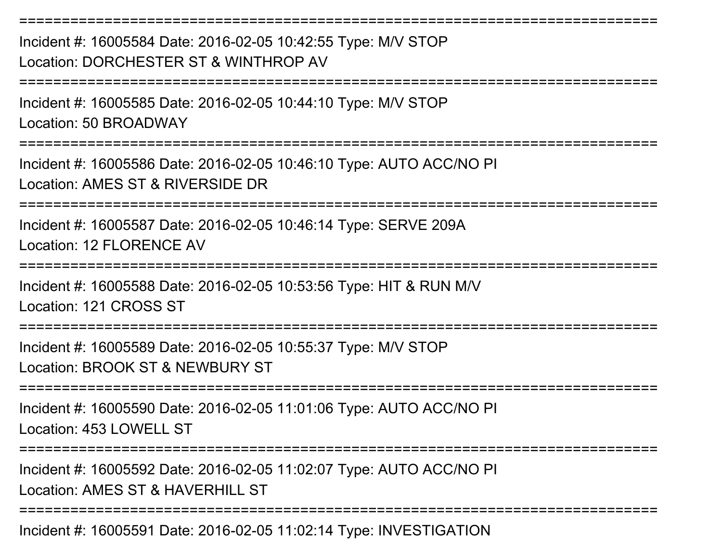===========================================================================Incident #: 16005584 Date: 2016-02-05 10:42:55 Type: M/V STOPLocation: DORCHESTER ST & WINTHROP AV===========================================================================Incident #: 16005585 Date: 2016-02-05 10:44:10 Type: M/V STOPLocation: 50 BROADWAY===========================================================================Incident #: 16005586 Date: 2016-02-05 10:46:10 Type: AUTO ACC/NO PILocation: AMES ST & RIVERSIDE DR===========================================================================Incident #: 16005587 Date: 2016-02-05 10:46:14 Type: SERVE 209ALocation: 12 FLORENCE AV===========================================================================Incident #: 16005588 Date: 2016-02-05 10:53:56 Type: HIT & RUN M/VLocation: 121 CROSS ST===========================================================================Incident #: 16005589 Date: 2016-02-05 10:55:37 Type: M/V STOPLocation: BROOK ST & NEWBURY ST===========================================================================Incident #: 16005590 Date: 2016-02-05 11:01:06 Type: AUTO ACC/NO PILocation: 453 LOWELL ST ===========================================================================Incident #: 16005592 Date: 2016-02-05 11:02:07 Type: AUTO ACC/NO PILocation: AMES ST & HAVERHILL ST ===========================================================================

Incident #: 16005591 Date: 2016-02-05 11:02:14 Type: INVESTIGATION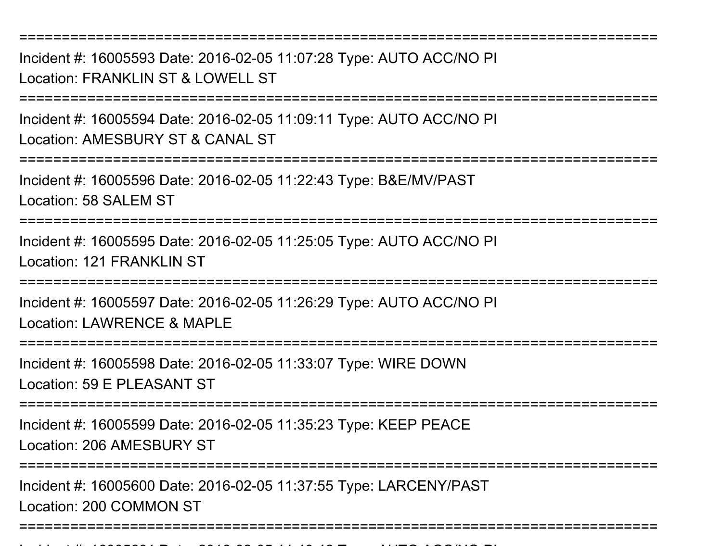Incident #: 16005593 Date: 2016-02-05 11:07:28 Type: AUTO ACC/NO PILocation: FRANKLIN ST & LOWELL ST

===========================================================================

===========================================================================

Incident #: 16005594 Date: 2016-02-05 11:09:11 Type: AUTO ACC/NO PILocation: AMESBURY ST & CANAL ST

===========================================================================

Incident #: 16005596 Date: 2016-02-05 11:22:43 Type: B&E/MV/PASTLocation: 58 SALEM ST

===========================================================================

Incident #: 16005595 Date: 2016-02-05 11:25:05 Type: AUTO ACC/NO PILocation: 121 FRANKLIN ST

===========================================================================

Incident #: 16005597 Date: 2016-02-05 11:26:29 Type: AUTO ACC/NO PILocation: LAWRENCE & MAPLE

===========================================================================

Incident #: 16005598 Date: 2016-02-05 11:33:07 Type: WIRE DOWNLocation: 59 E PLEASANT ST

===========================================================================

Incident #: 16005599 Date: 2016-02-05 11:35:23 Type: KEEP PEACE

Location: 206 AMESBURY ST

Incident #: 16005601 Date: 2016

===========================================================================

Incident #: 16005600 Date: 2016-02-05 11:37:55 Type: LARCENY/PASTLocation: 200 COMMON ST

===========================================================================

0 00 05 11:40:46 Type: AUTO ACC/NO PI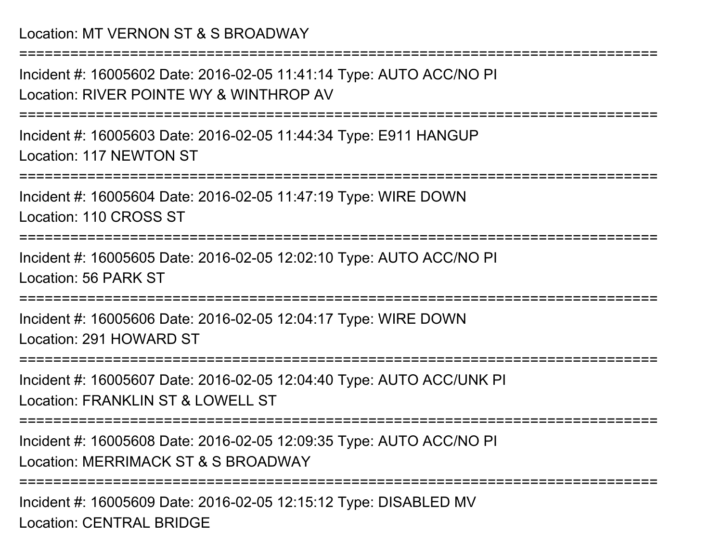## Location: MT VERNON ST & S BROADWAY

Incident #: 16005602 Date: 2016-02-05 11:41:14 Type: AUTO ACC/NO PILocation: RIVER POINTE WY & WINTHROP AV

===========================================================================

===========================================================================

Incident #: 16005603 Date: 2016-02-05 11:44:34 Type: E911 HANGUPLocation: 117 NEWTON ST

===========================================================================

Incident #: 16005604 Date: 2016-02-05 11:47:19 Type: WIRE DOWNLocation: 110 CROSS ST

===========================================================================

Incident #: 16005605 Date: 2016-02-05 12:02:10 Type: AUTO ACC/NO PILocation: 56 PARK ST

===========================================================================

Incident #: 16005606 Date: 2016-02-05 12:04:17 Type: WIRE DOWNLocation: 291 HOWARD ST

===========================================================================

Incident #: 16005607 Date: 2016-02-05 12:04:40 Type: AUTO ACC/UNK PILocation: FRANKLIN ST & LOWELL ST

===========================================================================

Incident #: 16005608 Date: 2016-02-05 12:09:35 Type: AUTO ACC/NO PILocation: MERRIMACK ST & S BROADWAY

===========================================================================

Incident #: 16005609 Date: 2016-02-05 12:15:12 Type: DISABLED MVLocation: CENTRAL BRIDGE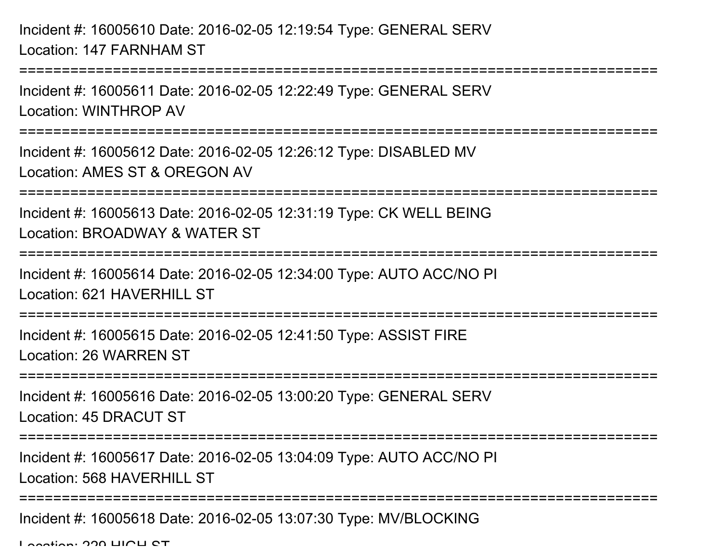Incident #: 16005610 Date: 2016-02-05 12:19:54 Type: GENERAL SERVLocation: 147 FARNHAM ST

```
Incident #: 16005611 Date: 2016-02-05 12:22:49 Type: GENERAL SERVLocation: WINTHROP AV
```
===========================================================================

===========================================================================

Incident #: 16005612 Date: 2016-02-05 12:26:12 Type: DISABLED MVLocation: AMES ST & OREGON AV

===========================================================================

Incident #: 16005613 Date: 2016-02-05 12:31:19 Type: CK WELL BEINGLocation: BROADWAY & WATER ST

===========================================================================

Incident #: 16005614 Date: 2016-02-05 12:34:00 Type: AUTO ACC/NO PI

Location: 621 HAVERHILL ST

===========================================================================

Incident #: 16005615 Date: 2016-02-05 12:41:50 Type: ASSIST FIRELocation: 26 WARREN ST

===========================================================================

Incident #: 16005616 Date: 2016-02-05 13:00:20 Type: GENERAL SERVLocation: 45 DRACUT ST

===========================================================================

Incident #: 16005617 Date: 2016-02-05 13:04:09 Type: AUTO ACC/NO PI

Location: 568 HAVERHILL ST

===========================================================================

Incident #: 16005618 Date: 2016-02-05 13:07:30 Type: MV/BLOCKING

Location: 220 HIGH CT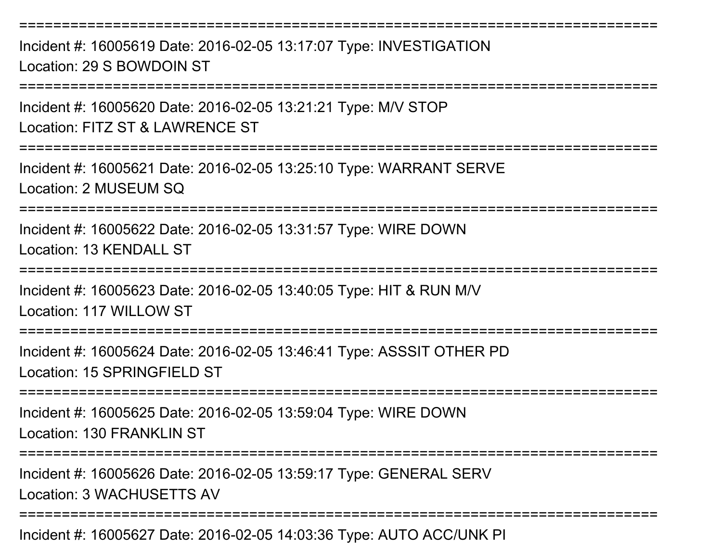===========================================================================Incident #: 16005619 Date: 2016-02-05 13:17:07 Type: INVESTIGATIONLocation: 29 S BOWDOIN ST

===========================================================================

Incident #: 16005620 Date: 2016-02-05 13:21:21 Type: M/V STOP

Location: FITZ ST & LAWRENCE ST

===========================================================================

Incident #: 16005621 Date: 2016-02-05 13:25:10 Type: WARRANT SERVELocation: 2 MUSEUM SQ

===========================================================================

Incident #: 16005622 Date: 2016-02-05 13:31:57 Type: WIRE DOWNLocation: 13 KENDALL ST

============================

Incident #: 16005623 Date: 2016-02-05 13:40:05 Type: HIT & RUN M/VLocation: 117 WILLOW ST

===========================================================================

Incident #: 16005624 Date: 2016-02-05 13:46:41 Type: ASSSIT OTHER PDLocation: 15 SPRINGFIFLD ST

===========================================================================

Incident #: 16005625 Date: 2016-02-05 13:59:04 Type: WIRE DOWNLocation: 130 FRANKLIN ST

===========================================================================

Incident #: 16005626 Date: 2016-02-05 13:59:17 Type: GENERAL SERVLocation: 3 WACHUSETTS AV

===========================================================================

Incident #: 16005627 Date: 2016-02-05 14:03:36 Type: AUTO ACC/UNK PI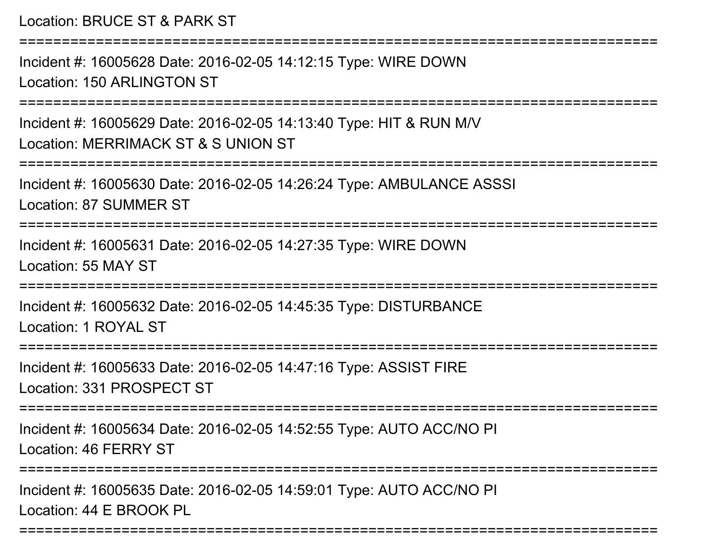Location: BRUCE ST & PARK ST

===========================================================================Incident #: 16005628 Date: 2016-02-05 14:12:15 Type: WIRE DOWNLocation: 150 ARLINGTON ST===========================================================================Incident #: 16005629 Date: 2016-02-05 14:13:40 Type: HIT & RUN M/VLocation: MERRIMACK ST & S UNION ST ===========================================================================Incident #: 16005630 Date: 2016-02-05 14:26:24 Type: AMBULANCE ASSSILocation: 87 SUMMER ST===========================================================================Incident #: 16005631 Date: 2016-02-05 14:27:35 Type: WIRE DOWNLocation: 55 MAY ST===========================================================================Incident #: 16005632 Date: 2016-02-05 14:45:35 Type: DISTURBANCELocation: 1 ROYAL ST================ Incident #: 16005633 Date: 2016-02-05 14:47:16 Type: ASSIST FIRELocation: 331 PROSPECT ST=========================== Incident #: 16005634 Date: 2016-02-05 14:52:55 Type: AUTO ACC/NO PILocation: 46 FERRY ST===========================================================================Incident #: 16005635 Date: 2016-02-05 14:59:01 Type: AUTO ACC/NO PILocation: 44 E BROOK PL

===========================================================================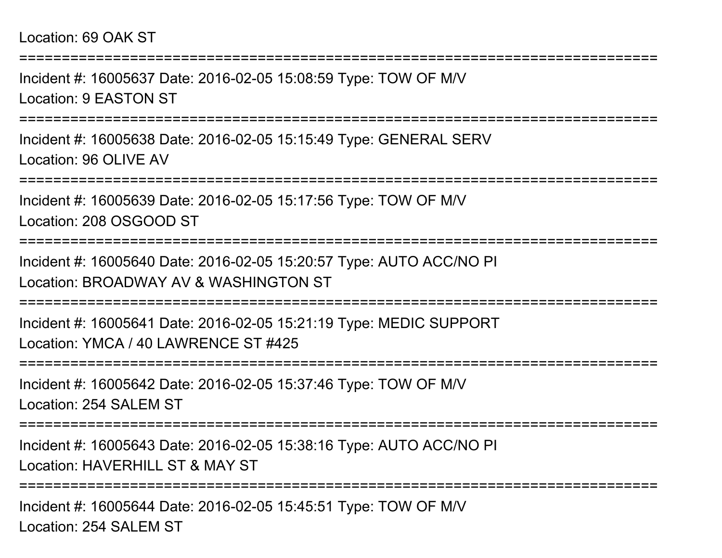Incident #: 16005637 Date: 2016-02-05 15:08:59 Type: TOW OF M/VLocation: 9 EASTON ST

===========================================================================

===========================================================================

Incident #: 16005638 Date: 2016-02-05 15:15:49 Type: GENERAL SERVLocation: 96 OLIVE AV

===========================================================================

Incident #: 16005639 Date: 2016-02-05 15:17:56 Type: TOW OF M/VLocation: 208 OSGOOD ST

===========================================================================

Incident #: 16005640 Date: 2016-02-05 15:20:57 Type: AUTO ACC/NO PILocation: BROADWAY AV & WASHINGTON ST

===========================================================================

Incident #: 16005641 Date: 2016-02-05 15:21:19 Type: MEDIC SUPPORTLocation: YMCA / 40 LAWRENCE ST #425

===========================================================================

Incident #: 16005642 Date: 2016-02-05 15:37:46 Type: TOW OF M/VLocation: 254 SALEM ST

===========================================================================

Incident #: 16005643 Date: 2016-02-05 15:38:16 Type: AUTO ACC/NO PILocation: HAVERHILL ST & MAY ST

===========================================================================

Incident #: 16005644 Date: 2016-02-05 15:45:51 Type: TOW OF M/VLocation: 254 SALEM ST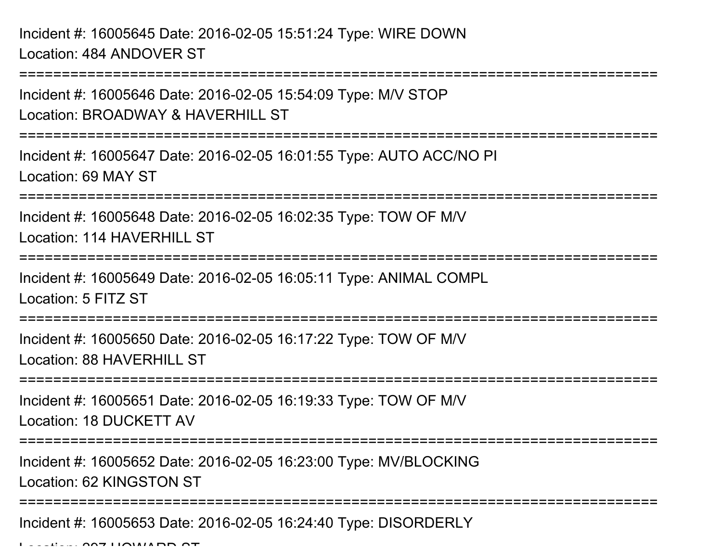Incident #: 16005645 Date: 2016-02-05 15:51:24 Type: WIRE DOWNLocation: 484 ANDOVER ST

===========================================================================Incident #: 16005646 Date: 2016-02-05 15:54:09 Type: M/V STOPLocation: BROADWAY & HAVERHILL ST===========================================================================Incident #: 16005647 Date: 2016-02-05 16:01:55 Type: AUTO ACC/NO PILocation: 69 MAY ST===========================================================================Incident #: 16005648 Date: 2016-02-05 16:02:35 Type: TOW OF M/VLocation: 114 HAVERHILL ST ===========================================================================Incident #: 16005649 Date: 2016-02-05 16:05:11 Type: ANIMAL COMPLLocation: 5 FITZ ST============================= Incident #: 16005650 Date: 2016-02-05 16:17:22 Type: TOW OF M/VLocation: 88 HAVERHILL ST ===========================================================================Incident #: 16005651 Date: 2016-02-05 16:19:33 Type: TOW OF M/VLocation: 18 DUCKETT AV===========================================================================Incident #: 16005652 Date: 2016-02-05 16:23:00 Type: MV/BLOCKINGLocation: 62 KINGSTON ST===========================================================================

Incident #: 16005653 Date: 2016-02-05 16:24:40 Type: DISORDERLY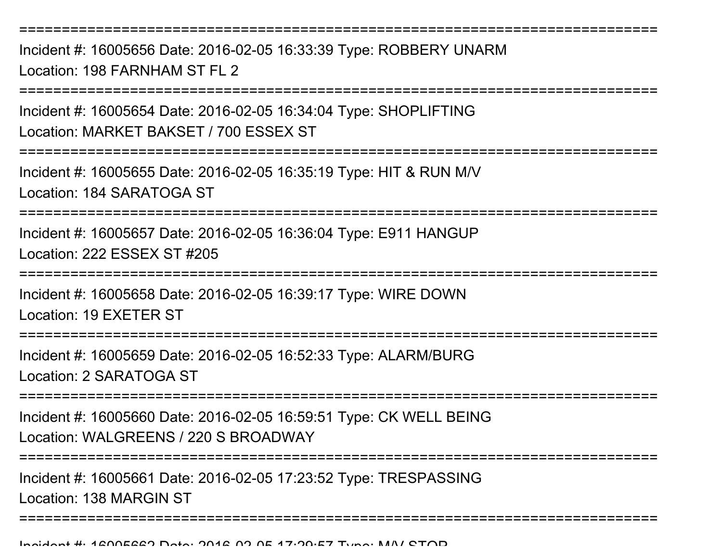===========================================================================Incident #: 16005656 Date: 2016-02-05 16:33:39 Type: ROBBERY UNARMLocation: 198 FARNHAM ST FL 2

===========================================================================

Incident #: 16005654 Date: 2016-02-05 16:34:04 Type: SHOPLIFTINGLocation: MARKET BAKSET / 700 ESSEX ST

===========================================================================

Incident #: 16005655 Date: 2016-02-05 16:35:19 Type: HIT & RUN M/VLocation: 184 SARATOGA ST

===========================================================================

Incident #: 16005657 Date: 2016-02-05 16:36:04 Type: E911 HANGUPLocation: 222 ESSEX ST #205

===========================================================================

Incident #: 16005658 Date: 2016-02-05 16:39:17 Type: WIRE DOWNLocation: 19 EXETER ST

===========================================================================

Incident #: 16005659 Date: 2016-02-05 16:52:33 Type: ALARM/BURGLocation: 2 SARATOGA ST

===========================================================================

Incident #: 16005660 Date: 2016-02-05 16:59:51 Type: CK WELL BEINGLocation: WALGREENS / 220 S BROADWAY

===========================================================================

Incident #: 16005661 Date: 2016-02-05 17:23:52 Type: TRESPASSINGLocation: 138 MARGIN ST

===========================================================================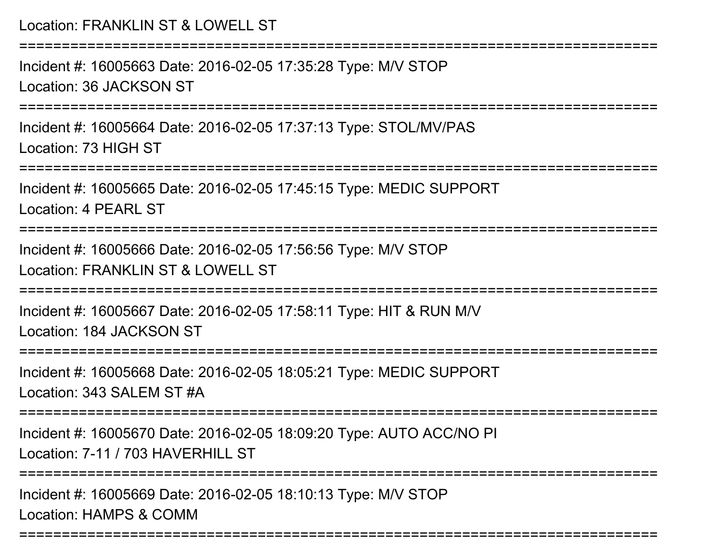===========================================================================

Incident #: 16005663 Date: 2016-02-05 17:35:28 Type: M/V STOPLocation: 36 JACKSON ST

===========================================================================

Incident #: 16005664 Date: 2016-02-05 17:37:13 Type: STOL/MV/PASLocation: 73 HIGH ST

===========================================================================

Incident #: 16005665 Date: 2016-02-05 17:45:15 Type: MEDIC SUPPORTLocation: 4 PEARL ST

================

Incident #: 16005666 Date: 2016-02-05 17:56:56 Type: M/V STOPLocation: FRANKLIN ST & LOWELL ST

===========================================================================

Incident #: 16005667 Date: 2016-02-05 17:58:11 Type: HIT & RUN M/VLocation: 184 JACKSON ST

======================

Incident #: 16005668 Date: 2016-02-05 18:05:21 Type: MEDIC SUPPORTLocation: 343 SALEM ST #A

===========================================================================

Incident #: 16005670 Date: 2016-02-05 18:09:20 Type: AUTO ACC/NO PILocation: 7-11 / 703 HAVERHILL ST

===========================================================================

===========================================================================

Incident #: 16005669 Date: 2016-02-05 18:10:13 Type: M/V STOPLocation: HAMPS & COMM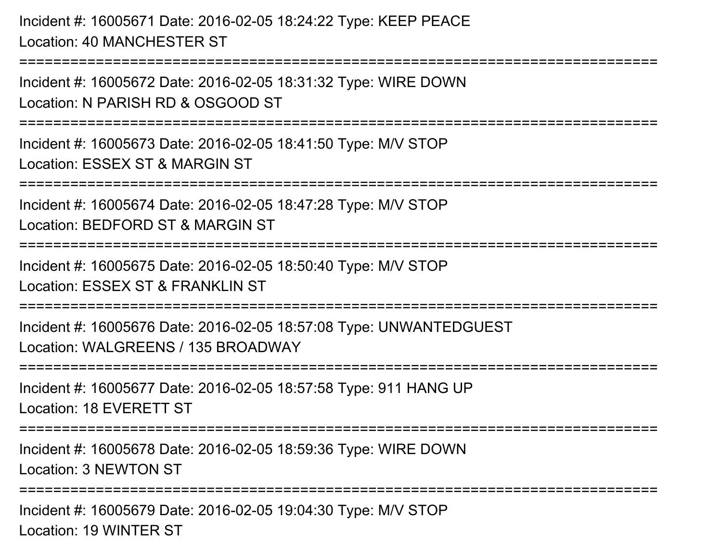Incident #: 16005671 Date: 2016-02-05 18:24:22 Type: KEEP PEACELocation: 40 MANCHESTER ST

===========================================================================

Incident #: 16005672 Date: 2016-02-05 18:31:32 Type: WIRE DOWNLocation: N PARISH RD & OSGOOD ST

===========================================================================

Incident #: 16005673 Date: 2016-02-05 18:41:50 Type: M/V STOPLocation: ESSEX ST & MARGIN ST

===========================================================================

Incident #: 16005674 Date: 2016-02-05 18:47:28 Type: M/V STOP

Location: BEDFORD ST & MARGIN ST

===========================================================================

Incident #: 16005675 Date: 2016-02-05 18:50:40 Type: M/V STOP

Location: ESSEX ST & FRANKLIN ST

===========================================================================

Incident #: 16005676 Date: 2016-02-05 18:57:08 Type: UNWANTEDGUESTLocation: WALGREENS / 135 BROADWAY

===========================================================================

Incident #: 16005677 Date: 2016-02-05 18:57:58 Type: 911 HANG UPLocation: 18 EVERETT ST

===========================================================================

Incident #: 16005678 Date: 2016-02-05 18:59:36 Type: WIRE DOWNLocation: 3 NEWTON ST

===========================================================================

Incident #: 16005679 Date: 2016-02-05 19:04:30 Type: M/V STOPLocation: 19 WINTER ST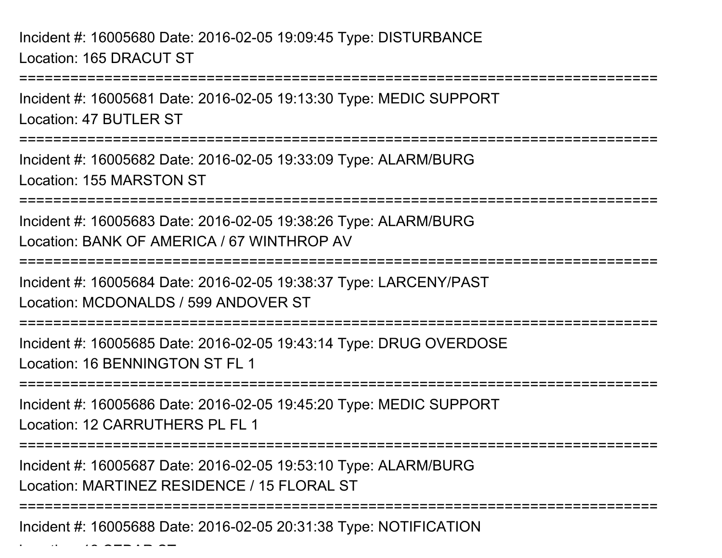Incident #: 16005680 Date: 2016-02-05 19:09:45 Type: DISTURBANCELocation: 165 DRACUT ST

Incident #: 16005681 Date: 2016-02-05 19:13:30 Type: MEDIC SUPPORTLocation: 47 BUTLER ST

===========================================================================

===========================================================================

Incident #: 16005682 Date: 2016-02-05 19:33:09 Type: ALARM/BURGLocation: 155 MARSTON ST

=======================

Incident #: 16005683 Date: 2016-02-05 19:38:26 Type: ALARM/BURGLocation: BANK OF AMERICA / 67 WINTHROP AV

===========================================================================

Incident #: 16005684 Date: 2016-02-05 19:38:37 Type: LARCENY/PASTLocation: MCDONALDS / 599 ANDOVER ST

===========================================================================

Incident #: 16005685 Date: 2016-02-05 19:43:14 Type: DRUG OVERDOSELocation: 16 BENNINGTON ST FL 1

===========================================================================

Incident #: 16005686 Date: 2016-02-05 19:45:20 Type: MEDIC SUPPORTLocation: 12 CARRUTHERS PL FL 1

===========================================================================

Incident #: 16005687 Date: 2016-02-05 19:53:10 Type: ALARM/BURGLocation: MARTINEZ RESIDENCE / 15 FLORAL ST

===========================================================================

Incident #: 16005688 Date: 2016-02-05 20:31:38 Type: NOTIFICATION

Location: 12 CEDAR ST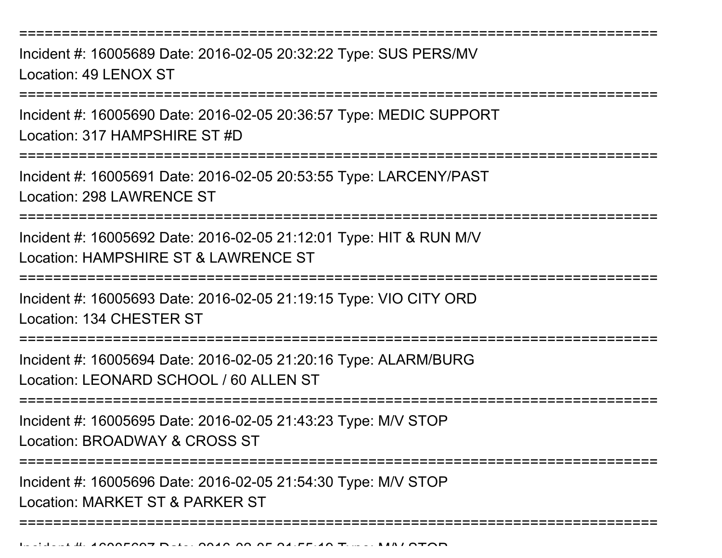===========================================================================

Incident #: 16005689 Date: 2016-02-05 20:32:22 Type: SUS PERS/MVLocation: 49 LENOX ST

=================

Incident #: 16005690 Date: 2016-02-05 20:36:57 Type: MEDIC SUPPORTLocation: 317 HAMPSHIRE ST #D

===============

Incident #: 16005691 Date: 2016-02-05 20:53:55 Type: LARCENY/PASTLocation: 298 LAWRENCE ST

===========================================================================

Incident #: 16005692 Date: 2016-02-05 21:12:01 Type: HIT & RUN M/VLocation: HAMPSHIRE ST & LAWRENCE ST

===========================================================================

Incident #: 16005693 Date: 2016-02-05 21:19:15 Type: VIO CITY ORDLocation: 134 CHESTER ST

===========================================================================

Incident #: 16005694 Date: 2016-02-05 21:20:16 Type: ALARM/BURGLocation: LEONARD SCHOOL / 60 ALLEN ST

===========================================================================

Incident #: 16005695 Date: 2016-02-05 21:43:23 Type: M/V STOPLocation: BROADWAY & CROSS ST

===========================================================================

===========================================================================

Incident #: 16005696 Date: 2016-02-05 21:54:30 Type: M/V STOP

Location: MARKET ST & PARKER ST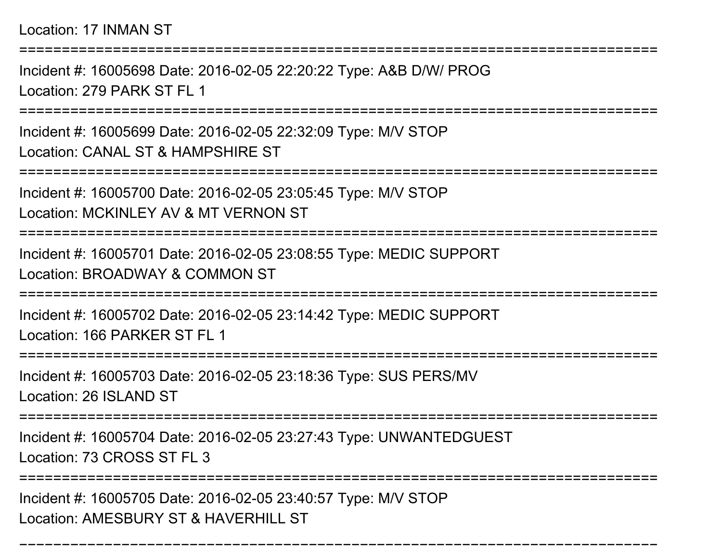Location: 17 INMAN ST

===========================================================================

Incident #: 16005698 Date: 2016-02-05 22:20:22 Type: A&B D/W/ PROGLocation: 279 PARK ST FL 1

===========================================================================

Incident #: 16005699 Date: 2016-02-05 22:32:09 Type: M/V STOPLocation: CANAL ST & HAMPSHIRE ST

===========================================================================

Incident #: 16005700 Date: 2016-02-05 23:05:45 Type: M/V STOP

Location: MCKINLEY AV & MT VERNON ST

===========================================================================

Incident #: 16005701 Date: 2016-02-05 23:08:55 Type: MEDIC SUPPORTLocation: BROADWAY & COMMON ST

===========================================================================

Incident #: 16005702 Date: 2016-02-05 23:14:42 Type: MEDIC SUPPORTLocation: 166 PARKER ST FL 1

======================

Incident #: 16005703 Date: 2016-02-05 23:18:36 Type: SUS PERS/MVLocation: 26 ISLAND ST

===========================================================================

Incident #: 16005704 Date: 2016-02-05 23:27:43 Type: UNWANTEDGUESTLocation: 73 CROSS ST FL 3

====================

===========================================================================

Incident #: 16005705 Date: 2016-02-05 23:40:57 Type: M/V STOPLocation: AMESBURY ST & HAVERHILL ST